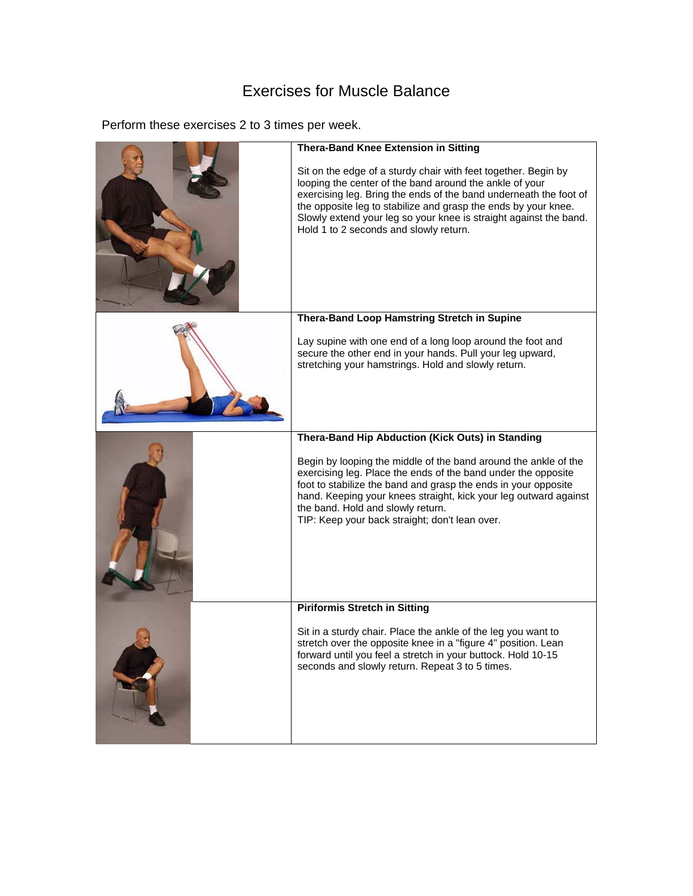## Exercises for Muscle Balance

Perform these exercises 2 to 3 times per week.

| <b>Thera-Band Knee Extension in Sitting</b><br>Sit on the edge of a sturdy chair with feet together. Begin by<br>looping the center of the band around the ankle of your<br>exercising leg. Bring the ends of the band underneath the foot of<br>the opposite leg to stabilize and grasp the ends by your knee.<br>Slowly extend your leg so your knee is straight against the band.<br>Hold 1 to 2 seconds and slowly return. |
|--------------------------------------------------------------------------------------------------------------------------------------------------------------------------------------------------------------------------------------------------------------------------------------------------------------------------------------------------------------------------------------------------------------------------------|
| Thera-Band Loop Hamstring Stretch in Supine                                                                                                                                                                                                                                                                                                                                                                                    |
| Lay supine with one end of a long loop around the foot and<br>secure the other end in your hands. Pull your leg upward,<br>stretching your hamstrings. Hold and slowly return.                                                                                                                                                                                                                                                 |
| Thera-Band Hip Abduction (Kick Outs) in Standing                                                                                                                                                                                                                                                                                                                                                                               |
| Begin by looping the middle of the band around the ankle of the<br>exercising leg. Place the ends of the band under the opposite<br>foot to stabilize the band and grasp the ends in your opposite<br>hand. Keeping your knees straight, kick your leg outward against<br>the band. Hold and slowly return.<br>TIP: Keep your back straight; don't lean over.                                                                  |
| <b>Piriformis Stretch in Sitting</b>                                                                                                                                                                                                                                                                                                                                                                                           |
| Sit in a sturdy chair. Place the ankle of the leg you want to<br>stretch over the opposite knee in a "figure 4" position. Lean<br>forward until you feel a stretch in your buttock. Hold 10-15<br>seconds and slowly return. Repeat 3 to 5 times.                                                                                                                                                                              |